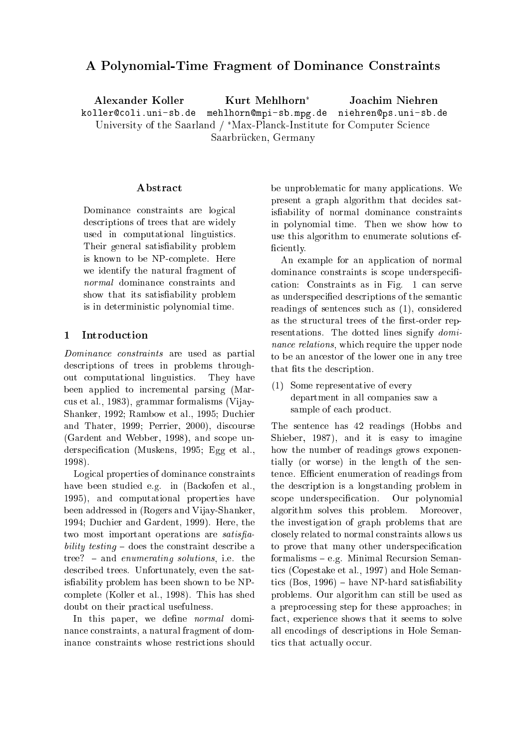# A Polynomial-Time Fragment of Dominan
e Constraints

Alexander Koller Kurt Mehlhorn<sup>\*</sup> Joa
him Niehren koller@coli.uni-sb.de mehlhorn@mpi-sb.mpg.de niehren@ps.uni-sb.de University of the Saarland / \*Max-Planck-Institute for Computer Science Saarbrücken, Germany

### Abstra
t

Dominance constraints are logical des
riptions of trees that are widely used in omputational linguisti
s. Their general satisfiability problem is known to be NPomplete. Here we identify the natural fragment of normal dominance constraints and show that its satisfiability problem is in deterministi polynomial time.

## 1 Introduction

Dominan
e onstraints are used as partial des
riptions of trees in problems throughout omputational linguisti
s. They have been applied to in
remental parsing (Mar us et al., 1983), grammar formalisms (Vijay-Shanker, 1992; Rambow et al., 1995; Du
hier and Thater, 1999; Perrier, 2000), dis
ourse (Gardent and Webber, 1998), and s
ope underspecification (Muskens, 1995; Egg et al., 1998).

Logical properties of dominance constraints have been studied e.g. in (Ba
kofen et al., 1995), and omputational properties have been addressed in (Rogers and Vijay-Shanker, 1994; Du
hier and Gardent, 1999). Here, the two most important operations are satisfiability testing  $-$  does the constraint describe a tree?  $-$  and enumerating solutions, i.e. the des
ribed trees. Unfortunately, even the satisfiability problem has been shown to be NPomplete (Koller et al., 1998). This has shed doubt on their practical usefulness.

In this paper, we define *normal* dominan
e onstraints, a natural fragment of dominance constraints whose restrictions should be unproblemati for many appli
ations. We present a graph algorithm that decides satisfiability of normal dominance constraints in polynomial time. Then we show how to use this algorithm to enumerate solutions ef ficiently.

An example for an appli
ation of normal dominance constraints is scope underspecifiation: Constraints as in Fig. 1 an serve as underspecified descriptions of the semantic readings of senten
es su
h as (1), onsidered as the structural trees of the first-order representations. The dotted lines signify dominance relations, which require the upper node to be an an
estor of the lower one in any tree that fits the description.

(1) Some representative of every department in all ompanies saw a sample of each product.

The senten
e has 42 readings (Hobbs and Shieber, 1987), and it is easy to imagine how the number of readings grows exponentially (or worse) in the length of the sentence. Efficient enumeration of readings from the des
ription is a longstanding problem in scope underspecification. Our polynomial algorithm solves this problem. Moreover, the investigation of graph problems that are losely related to normal onstraints allows us to prove that many other underspecification formalisms - e.g. Minimal Recursion Semanti
s (Copestake et al., 1997) and Hole Semantics  $(Bos, 1996)$  – have NP-hard satisfiability problems. Our algorithm an still be used as a prepro
essing step for these approa
hes; in fact, experience shows that it seems to solve all en
odings of des
riptions in Hole Semantics that actually occur.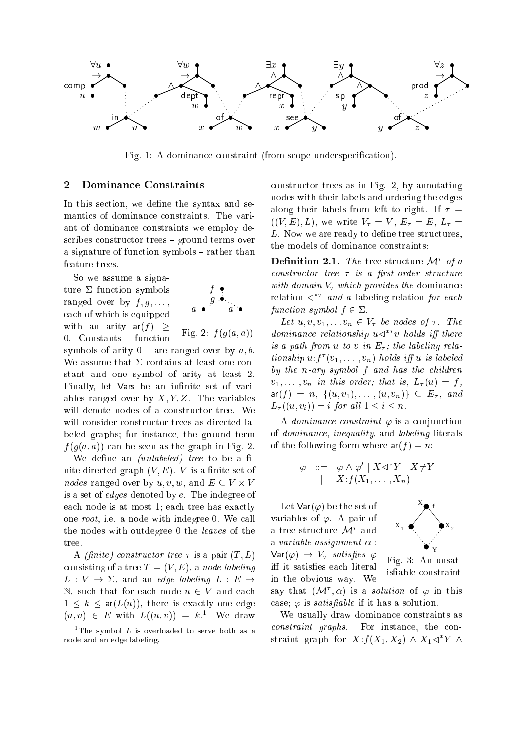

Fig. 1: A dominance constraint (from scope underspecification).

## 2 Dominan
e Constraints

In this section, we define the syntax and semantics of dominance constraints. The variant of dominan
e onstraints we employ describes constructor trees - ground terms over a signature of function symbols – rather than feature trees.

So we assume a signature  $\Sigma$  function symbols ranged over by  $f, g, \ldots$ , ea
h of whi
h is equipped with an arity  $ar(f)$  > 0. Constants - function symbols of arity  $0$  – are ranged over by  $a, b$ .

$$
\begin{array}{cc}\n f & \bullet \\
 g & \bullet \\
 a & \bullet\n \end{array}
$$

Fig. 2:  $f(g(a, a))$ 

We assume that  $\Sigma$  contains at least one constant and one symbol of arity at least 2. Finally, let Vars be an infinite set of variables ranged over by  $X, Y, Z$ . The variables will denote nodes of a constructor tree. We will consider constructor trees as directed labeled graphs; for instan
e, the ground term  $f(q(a, a))$  can be seen as the graph in Fig. 2.

We define an  $(unlabeled)$  tree to be a finite directed graph  $(V, E)$ . V is a finite set of nodes ranged over by u; v; w, and E V - V is a set of edges denoted by e. The indegree of each node is at most 1; each tree has exactly one root, i.e. a node with indegree 0. We all the nodes with outdegree <sup>0</sup> the leaves of the tree.

A *(finite)* constructor tree  $\tau$  is a pair  $(T, L)$ consisting of a tree  $T = (V, E)$ , a node labeling  $L: V \rightarrow \Sigma$ , and an *edge labeling*  $L: E \rightarrow$ N, such that for each node  $u \in V$  and each  $1 \leq k \leq \text{ar}(L(u))$ , there is exactly one edge  $(u, v) \in E$  with  $L((u, v)) = \kappa$ . We draw

onstru
tor trees as in Fig. 2, by annotating nodes with their labels and ordering the edges along their labels from left to right. If  $\tau =$  $((V, E), L)$ , we write  $V_\tau = V$ ,  $E_\tau = E$ ,  $L_\tau =$ L. Now we are ready to define tree structures, the models of dominance constraints:

**Demition 2.1.** The tree structure  $\mathcal{M}$  of a constructor tree  $\tau$  is a first-order structure with domain  $V_{\tau}$  which provides the dominance relation  $\lhd$  and a labeling relation for each function symbol  $f \in \Sigma$ .

Let  $u, v, v_1, \ldots v_n \in V_\tau$  be nodes of  $\tau$ . The  $aomnance$  relationship  $u \triangleleft v$  holds iff there is a path from u to v in  $E_{\tau}$ ; the labeling relationship  $u:j \ (v_1, \ldots, v_n)$  holds iff  $u$  is tablead by the  $n$ -ary symbol  $f$  and has the children  $v_1, \ldots, v_n$  in this order; that is,  $L_\tau(u) = f$ ,  $ar(f) = n, \{ (u, v_1), \ldots, (u, v_n) \} \subseteq E_{\tau}, \text{ and}$  $L_{\tau}((u, v_i)) = i$  for all  $1 \leq i \leq n$ .

A *dominance constraint*  $\varphi$  is a conjunction of dominan
e, inequality, and labeling literals of the following form where  $ar(f) = n$ :

$$
\varphi \quad ::= \quad \varphi \land \varphi' \mid X \lhd^* Y \mid X \neq Y \\ \mid \quad X : f(X_1, \ldots, X_n)
$$

Let  $\textsf{Var}(\varphi)$  be the set of variables of  $\varphi$ . A pair of a tree structure *y*t and a variable assignment  $\alpha$ :  $Var(\varphi) \rightarrow V_{\tau}$  satisfies  $\varphi$ iff it satisfies each literal in the obvious way. We



Fig. 3: An unsatisfiable constraint

say that  $(\mathcal{M}^\cdot, \alpha)$  is a *solution* of  $\varphi$  in this case;  $\varphi$  is *satisfiable* if it has a solution.

We usually draw dominance constraints as constraint graphs. For instance, the constraint graph for  $A$ : $J(A_1, A_2)$  and  $A_1 \triangleleft I$  and

The symbol  $L$  is overloaded to serve both as a node and an edge labeling.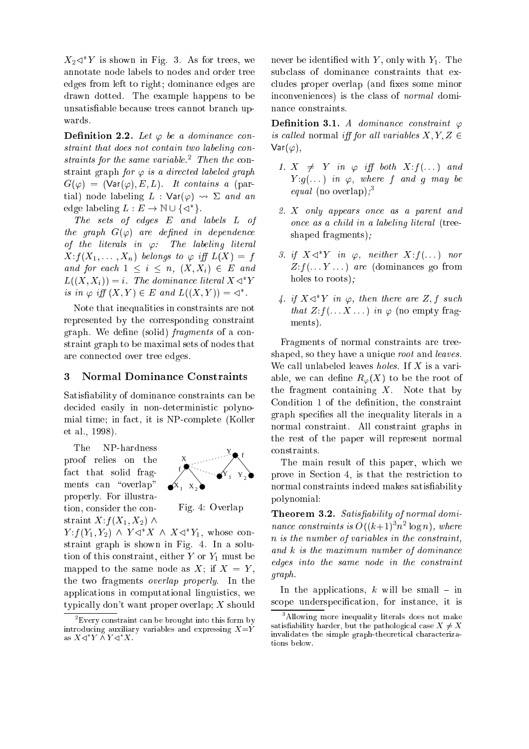$\Lambda_2 \triangleleft$  is shown in Fig. 5. As for trees, we annotate node labels to nodes and order tree edges from left to right; dominan
e edges are drawn dotted. The example happens to be unsatisfiable because trees cannot branch upwards.

Definition 2.2. Let  $\varphi$  be a dominance constraint that does not contain two labeling constraints for the same variable. I hen the constraint graph for  $\varphi$  is a directed labeled graph  $G(\varphi) = (\text{Var}(\varphi), E, L)$ . It contains a (partial) node labeling  $L : Var(\varphi) \rightsquigarrow \Sigma$  and an edge labeling  $L: E \to \mathbb{N} \cup \{\leq l\}$ .

The sets of edges E and labels L of the graph  $G(\varphi)$  are defined in dependence of the literals in  $\varphi$ : The labeling literal  $X: f(X_1, \ldots, X_n)$  belongs to  $\varphi$  iff  $L(X) = f$ and for each  $1 \leq i \leq n$ ,  $(X, X_i) \in E$  and  $L((\Lambda, \Lambda_i)) \equiv i$ . The dominance literal  $\Lambda \triangleleft \setminus I$ is in  $\varphi$  if  $(X, Y) \in E$  and  $L((X, Y)) = \varphi$ .

Note that inequalities in onstraints are not represented by the orresponding onstraint graph. We define (solid) *fragments* of a constraint graph to be maximal sets of nodes that are onne
ted over tree edges.

#### 3 <sup>3</sup> Normal Dominan
e Constraints

Satisfiability of dominance constraints can be de
ided easily in non-deterministi polynomial time; in fact, it is NP-complete (Koller et al., 1998).

The NP-hardness proof relies on the fact that solid fragments can "overlap" properly. For illustration, consider the constraint  $X: f(X_1, X_2) \wedge$ 



Fig. 4: Overlap

 $Y: J(Y_1, Y_2) \wedge Y \leq \Lambda \wedge \Lambda \leq Y_1$ , whose constraint graph is shown in Fig. 4. In a solution of this constraint, either  $Y$  or  $Y_1$  must be mapped to the same node as  $X$ ; if  $X = Y$ , the two fragments overlap properly. In the applications in computational linguistics, we typi
ally don't want proper overlap; X should never be identified with  $Y$ , only with  $Y_1$ . The subclass of dominance constraints that excludes proper overlap (and fixes some minor inconveniences) is the class of *normal* dominan
e onstraints.

Definition 3.1. A dominance constraint  $\varphi$ is called normal iff for all variables  $X, Y, Z \in$  $\mathsf{Var}(\varphi),$ 

- 1.  $X \neq Y$  in  $\varphi$  iff both  $X: f(\dots)$  and  $Y : g(...)$  in  $\varphi$ , where f and g may be  $equation$  (no overlap);
- 2. X only appears on
e as a parent and on
e as a hild in a labeling literal (treeshaped fragments);
- 3. if  $X \triangleleft Y$  in  $\varphi$ , neither  $X: J(\dots)$  nor  $Z: f(\ldots Y \ldots)$  are (dominances go from holes to roots);
- 4. if  $X \triangleleft Y$  in  $\varphi,$  then there are  $Z,$   $f$  such that  $Z: f(\ldots X \ldots)$  in  $\varphi$  (no empty fragments).

Fragments of normal onstraints are treeshaped, so they have a unique root and leaves. We call unlabeled leaves *holes*. If  $X$  is a variable, we can define  $R_{\varphi}(X)$  to be the root of the fragment containing  $X$ . Note that by Condition 1 of the definition, the constraint graph specifies all the inequality literals in a normal onstraint. All onstraint graphs in the rest of the paper will represent normal onstraints.

The main result of this paper, whi
h we prove in Section 4, is that the restriction to normal constraints indeed makes satisfiability polynomial:

Theorem 3.2. Satisfiability of normal dominance constraints is  $O((\kappa+1)^2 n^2 \log n)$ , where n is the number of variables in the constraint, and  $k$  is the maximum number of dominance edges into the same node in the constraint graph.

In the applications,  $k$  will be small – in scope underspecification, for instance, it is

<sup>2</sup> Every onstraint an be brought into this form by introducing auxiliary variables and expressing  $X=\check{Y}$ as  $\Lambda \lhd \lq\lq\Lambda$   $\Lambda$   $\Lambda$   $\Lambda$  .

<sup>3</sup> Allowing more inequality literals does not make satisfiability harder, but the pathological case  $X \neq X$ invalidates the simple graph-theoretical characterizations below.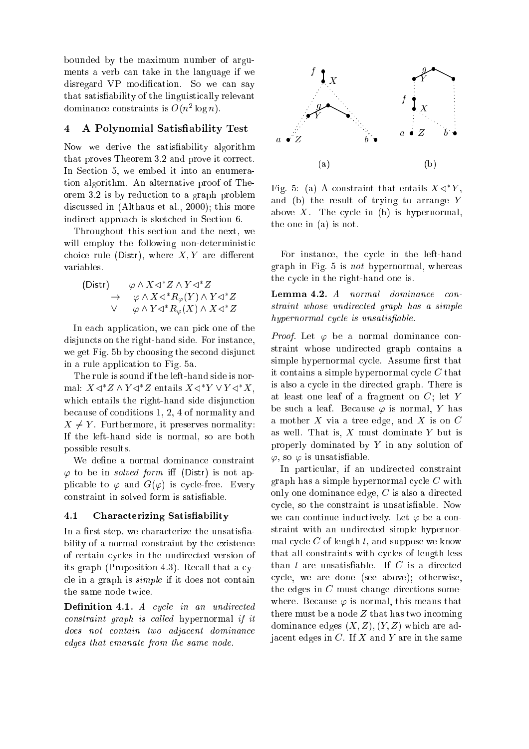bounded by the maximum number of arguments a verb an take in the language if we disregard VP modification. So we can say that satisability of the linguisti
ally relevant dominance constraints is  $O(n^2 \log n)$ .

## 4 <sup>A</sup> Polynomial Satisability Test

Now we derive the satisfiability algorithm that proves Theorem 3.2 and prove it orre
t. In Section 5, we embed it into an enumeration algorithm. An alternative proof of Theorem 3.2 is by redu
tion to a graph problem dis
ussed in (Althaus et al., 2000); this more indirect approach is sketched in Section 6.

Throughout this se
tion and the next, we will employ the following non-deterministic choice rule (Distr), where  $X, Y$  are different variables.

$$
\begin{array}{ccc}\n\text{(Distr)} & \varphi \wedge X \triangleleft^* Z \wedge Y \triangleleft^* Z \\
\to & \varphi \wedge X \triangleleft^* R_{\varphi}(Y) \wedge Y \triangleleft^* Z \\
\vee & \varphi \wedge Y \triangleleft^* R_{\varphi}(X) \wedge X \triangleleft^* Z\n\end{array}
$$

In each application, we can pick one of the disjuncts on the right-hand side. For instance, we get Fig. 5b by choosing the second disjunct in a rule appli
ation to Fig. 5a.

The rule is sound if the left-hand side is normal:  $\Lambda \triangleleft \Lambda$   $\Lambda$   $\Lambda \triangleleft \Lambda$  entails  $\Lambda \triangleleft \Lambda$   $\Lambda$   $\Lambda$   $\Lambda$  . which entails the right-hand side disjunction be
ause of onditions 1, 2, 4 of normality and  $X \neq Y$ . Furthermore, it preserves normality: If the left-hand side is normal, so are both possible results.

We define a normal dominance constraint  $\varphi$  to be in *solved form* iff (Distr) is not applicable to  $\varphi$  and  $G(\varphi)$  is cycle-free. Every onstraint in solved form is satisable.

#### $4.1$ Characterizing Satisfiability

In a first step, we characterize the unsatisfiability of a normal constraint by the existence of ertain y
les in the undire
ted version of its graph (Proposition 4.3). Recall that a cycle in a graph is  $simple$  if it does not contain

Definition 4.1. A cycle in an undirected  $constraint \; graph \; is \; called \; hypernormal \; if \; it$ does not contain two adjacent dominance edges that emanate from the same node.



rig. 5: (a) A constraint that entails  $A \triangleleft I$ , and (b) the result of trying to arrange Y above X. The cycle in  $(b)$  is hypernormal, the one in (a) is not.

For instance, the cycle in the left-hand graph in Fig. 5 is not hypernormal, whereas the cycle in the right-hand one is.

Lemma 4.2. A normal dominance constraint whose undire
ted graph has a simple hypernormal cycle is unsatisfiable.

*Proof.* Let  $\varphi$  be a normal dominance constraint whose undire
ted graph ontains a simple hypernormal cycle. Assume first that it contains a simple hypernormal cycle  $C$  that is also a cycle in the directed graph. There is at least one leaf of a fragment on C; let Y be such a leaf. Because  $\varphi$  is normal, Y has a mother  $X$  via a tree edge, and  $X$  is on  $C$ as well. That is,  $X$  must dominate  $Y$  but is properly dominated by Y in any solution of  $\varphi$ , so  $\varphi$  is unsatisfiable.

In particular, if an undirected constraint  $graph has a simple hypernormal cycle C with$ only one dominan
e edge, C is also a dire
ted y
le, so the onstraint is unsatisable. Now we can continue inductively. Let  $\varphi$  be a constraint with an undirected simple hypernormal cycle  $C$  of length l, and suppose we know that all constraints with cycles of length less than  $l$  are unsatisfiable. If  $C$  is a directed y
le, we are done (see above); otherwise, the edges in  $C$  must change directions somewhere. Because  $\varphi$  is normal, this means that there must be a node  $Z$  that has two incoming dominance edges  $(X, Z), (Y, Z)$  which are adja
ent edges in C. If X and Y are in the same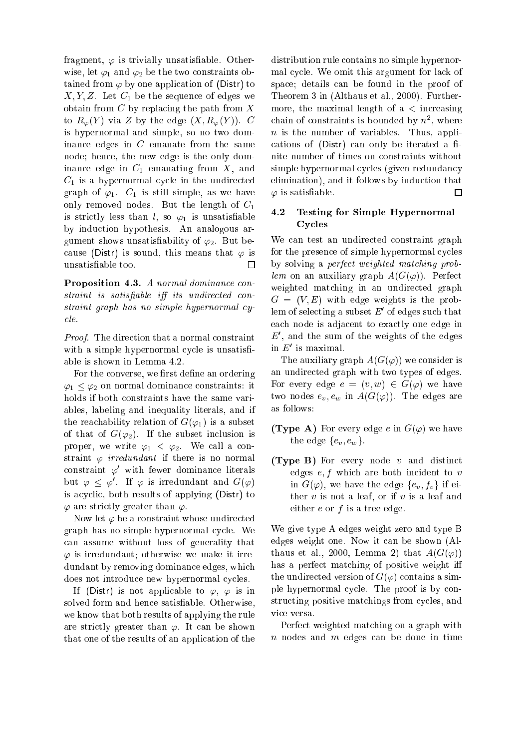fragment,  $\varphi$  is trivially unsatisfiable. Otherwise, let  $\varphi_1$  and  $\varphi_2$  be the two constraints obtained from  $\varphi$  by one application of (Distr) to  $X, Y, Z$ . Let  $C_1$  be the sequence of edges we obtain from  $C$  by replacing the path from  $X$ to  $R_{\varphi}(Y)$  via Z by the edge  $(X, R_{\varphi}(Y))$ . C is hypernormal and simple, so no two dominan
e edges in C emanate from the same node; hen
e, the new edge is the only dominance edge in  $C_1$  emanating from  $X$ , and  $C_1$  is a hypernormal cycle in the undirected graph of  $\varphi_1$ .  $C_1$  is still simple, as we have only removed nodes. But the length of  $C_1$ is strictly less than l, so  $\varphi_1$  is unsatisfiable by indu
tion hypothesis. An analogous argument shows unsatisfiability of  $\varphi_2$ . But because (Distr) is sound, this means that  $\varphi$  is unsatisable too.  $\Box$ 

Proposition 4.3. A normal dominance constraint is satisfiable iff its undirected con $strain t$  araph has no simple hypernormal cyle.

Proof. The direction that a normal constraint with a simple hypernormal cycle is unsatisfiable is shown in Lemma 4.2.

For the converse, we first define an ordering  $\varphi_1 \leq \varphi_2$  on normal dominance constraints: it holds if both onstraints have the same variables, labeling and inequality literals, and if the reachability relation of  $G(\varphi_1)$  is a subset of that of  $G(\varphi_2)$ . If the subset inclusion is proper, we write  $\varphi_1 < \varphi_2$ . We call a constraint  $\varphi$  irredundant if there is no normal constraint  $\varphi'$  with fewer dominance literals but  $\varphi \leq \varphi$ . If  $\varphi$  is irredundant and  $G(\varphi)$ is acyclic, both results of applying (Distr) to  $\varphi$  are strictly greater than  $\varphi$ .

Now let  $\varphi$  be a constraint whose undirected graph has no simple hypernormal cycle. We an assume without loss of generality that  $\varphi$  is irredundant; otherwise we make it irredundant by removing dominan
e edges, whi
h does not introduce new hypernormal cycles.

If (Distr) is not applicable to  $\varphi$ ,  $\varphi$  is in solved form and hence satisfiable. Otherwise, we know that both results of applying the rule are strictly greater than  $\varphi$ . It can be shown that one of the results of an appli
ation of the

distribution rule ontains no simple hypernormal cycle. We omit this argument for lack of spa
e; details an be found in the proof of Theorem 3 in (Althaus et al., 2000). Furthermore, the maximal length of  $a <$  increasing chain of constraints is bounded by  $n^2$ , where  $n$  is the number of variables. Thus, applications of (Distr) can only be iterated a finite number of times on onstraints without simple hypernormal cycles (given redundancy elimination), and it follows by induction that  $\varphi$  is satisfiable.  $\Box$ 

## 4.2 Testing for Simple Hypernormal Cy
les

We can test an undirected constraint graph for the presence of simple hypernormal cycles by solving a perfe
t weighted mat
hing problem on an auxiliary graph  $A(G(\varphi))$ . Perfect weighted matching in an undirected graph  $G = (V, E)$  with edge weights is the prob- $\lim$  of selecting a subset  $E$  of edges such that ea
h node is adja
ent to exa
tly one edge in  $E$ , and the sum of the weights of the edges in  $E$  is maximal.

The auxiliary graph  $A(G(\varphi))$  we consider is an undire
ted graph with two types of edges. For every edge  $e = (v, w) \in G(\varphi)$  we have two nodes  $e_v, e_w$  in  $A(G(\varphi))$ . The edges are as follows:

- **(Type A)** For every edge e in  $G(\varphi)$  we have the edge  $\{e_v, e_w\}$ .
- (Type B) For every node <sup>v</sup> and distin
t edges  $e, f$  which are both incident to  $v$ in  $G(\varphi)$ , we have the edge  $\{e_v, f_v\}$  if either  $v$  is not a leaf, or if  $v$  is a leaf and either  $e$  or  $f$  is a tree edge.

We give type A edges weight zero and type B edges weight one. Now it an be shown (Althaus et al., 2000, Lemma 2) that  $A(G(\varphi))$ has a perfect matching of positive weight iff the undirected version of  $G(\varphi)$  contains a simple hypernormal cycle. The proof is by constructing positive matchings from cycles, and vice versa.

Perfe
t weighted mat
hing on a graph with  $n$  nodes and  $m$  edges can be done in time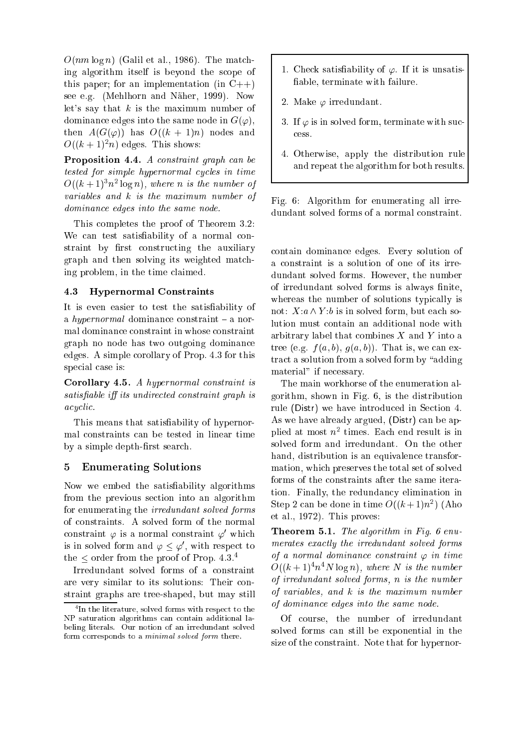$O(nm \log n)$  (Galil et al., 1986). The matching algorithm itself is beyond the s
ope of this paper; for an implementation (in  $C++$ ) see e.g. (Mehlhorn and Näher, 1999). Now let's say that  $k$  is the maximum number of dominance edges into the same node in  $G(\varphi)$ , then  $A(G(\varphi))$  has  $O((k+1)n)$  nodes and  $\cup$ ( $\kappa$  + 1)<sup>-</sup> $n$ ) edges. This shows:

Proposition 4.4. A constraint graph can be tested for simple hypernormal cycles in time  $O((\kappa + 1)^3 n^2 \log n)$ , where n is the number of variables and k is the maximum number of dominance edges into the same node.

This ompletes the proof of Theorem 3.2: We can test satisfiability of a normal constraint by first constructing the auxiliary graph and then solving its weighted mat
hing problem, in the time laimed.

## 4.3 Hypernormal Constraints

It is even easier to test the satisfiability of a hypernormal dominance constraint  $-$  a normal dominan
e onstraint in whose onstraint graph no node has two outgoing dominan
e edges. A simple orollary of Prop. 4.3 for this special case is:

Corollary 4.5. A hypernormal onstraint is satisfiable iff its undirected constraint graph is acyclic.

This means that satisfiability of hypernormal onstraints an be tested in linear time by a simple depth-first search.

## 5 Enumerating Solutions

Now we embed the satisability algorithms from the previous se
tion into an algorithm for enumerating the irredundant solved forms of onstraints. A solved form of the normal constraint  $\varphi$  is a normal constraint  $\varphi'$  which is in solved form and  $\varphi \leq \varphi' ,$  with respect to the  $\leq$  order from the proof of Prop. 4.3.<sup>4</sup>

Irredundant solved forms of a onstraint are very similar to its solutions: Their constraint graphs are tree-shaped, but may still

- 1. Check satisfiability of  $\varphi$ . If it is unsatisable, terminate with failure.
- 2. Make  $\varphi$  irredundant.
- 3. If  $\varphi$  is in solved form, terminate with sucess.
- 4. Otherwise, apply the distribution rule and repeat the algorithm for both results.

Fig. 6: Algorithm for enumerating all irredundant solved forms of a normal onstraint.

ontain dominan
e edges. Every solution of a onstraint is a solution of one of its irredundant solved forms. However, the number of irredundant solved forms is always finite, whereas the number of solutions typically is not:  $X: a \wedge Y:b$  is in solved form, but each solution must ontain an additional node with arbitrary label that combines  $X$  and  $Y$  into a tree (e.g.  $f(a, b), g(a, b)$ ). That is, we can extract a solution from a solved form by "adding" material" if necessary.

The main workhorse of the enumeration algorithm, shown in Fig. 6, is the distribution rule (Distr) we have introduced in Section 4. As we have already argued, (Distr) can be applied at most  $n^{\perp}$  times. Each end result is in solved form and irredundant. On the other hand, distribution is an equivalen
e transformation, whi
h preserves the total set of solved forms of the onstraints after the same iteration. Finally, the redundancy elimination in Step 2 can be done in time  $O((\kappa+1)n^2)$  (Aho et al., 1972). This proves:

Theorem 5.1. The algorithm in Fig. 6 enumerates exactly the irredundant solved forms of a normal dominance constraint  $\varphi$  in time  $O((\kappa + 1)^2 n^2 N \log n)$ , where *i*v is the number of irredundant solved forms, n is the number of variables, and k is the maximum number of dominan
e edges into the same node.

Of ourse, the number of irredundant solved forms an still be exponential in the size of the onstraint. Note that for hypernor-

<sup>4</sup> In the literature, solved forms with respe
t to the NP saturation algorithms an ontain additional labeling literals. Our notion of an irredundant solved form corresponds to a *minimal solved form* there.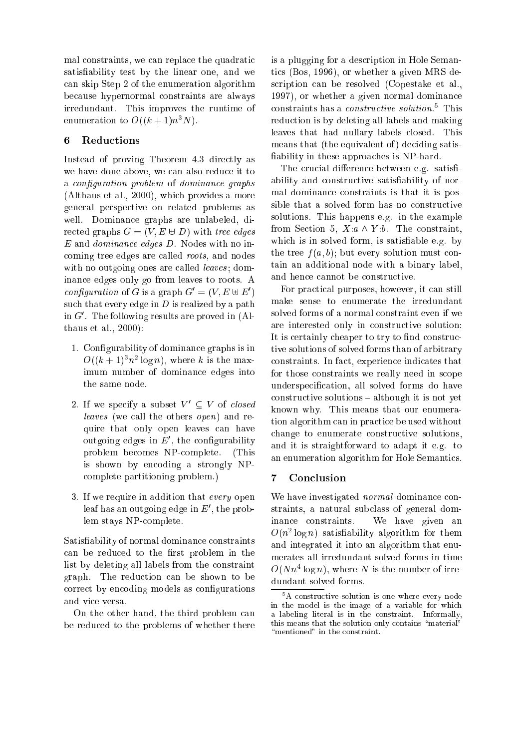mal constraints, we can replace the quadratic satisfiability test by the linear one, and we an skip Step 2 of the enumeration algorithm be
ause hypernormal onstraints are always irredundant. This improves the runtime of enumeration to  $O((k+1)n^3N)$ .

# 6 Redu
tions

Instead of proving Theorem 4.3 directly as we have done above, we can also reduce it to a configuration problem of dominance graphs (Althaus et al., 2000), whi
h provides a more general perspe
tive on related problems as well. Dominan
e graphs are unlabeled, directed graphs  $G = (V, E \oplus D)$  with tree edges E and dominan
e edges D. Nodes with no in coming tree edges are called *roots*, and nodes with no outgoing ones are called *leaves*; dominan
e edges only go from leaves to roots. A configuration of G is a graph  $G = (V, E \oplus E)$ such that every edge in  $D$  is realized by a path in  $G$  . The following results are proved in (Althaus et al., 2000):

- 1. Congurability of dominan
e graphs is in  $\mathcal{O}((\kappa + 1)^n \pi^2 \log n),$  where  $\kappa$  is the maximum number of dominan
e edges into the same node.
- 2. If we specify a subset  $V' \subset V$  of *closed* leaves (we call the others *open*) and require that only open leaves can have outgoing edges in  $E$  , the connigurability problem be
omes NPomplete. (This is shown by encoding a strongly NPomplete partitioning problem.)
- 3. If we require in addition that every open rear has an outgoing edge in  $E$  , the problem stays NPomplete.

Satisfiability of normal dominance constraints can be reduced to the first problem in the list by deleting all labels from the onstraint graph. The redu
tion an be shown to be correct by encoding models as configurations and vi
e versa.

On the other hand, the third problem an be redu
ed to the problems of whether there

is a plugging for a des
ription in Hole Semantics (Bos, 1996), or whether a given MRS des
ription an be resolved (Copestake et al., 1997), or whether a given normal dominan
e constraints nas a *constructive solution*. This reduction is by deleting all labels and making leaves that had nullary labels closed. This means that (the equivalent of) deciding satisfiability in these approaches is NP-hard.

The crucial difference between e.g. satisfiability and constructive satisfiability of normal dominan
e onstraints is that it is possible that a solved form has no constructive solutions. This happens e.g. in the example from Section 5,  $X: a \wedge Y: b$ . The constraint, which is in solved form, is satisfiable e.g. by the tree  $f(a, b)$ ; but every solution must contain an additional node with a binary label, and hen
e annot be onstru
tive.

For practical purposes, however, it can still make sense to enumerate the irredundant solved forms of a normal onstraint even if we are interested only in onstru
tive solution: It is certainly cheaper to try to find constructive solutions of solved forms than of arbitrary onstraints. In fa
t, experien
e indi
ates that for those onstraints we really need in s
ope underspecification, all solved forms do have onstru
tive solutions { although it is not yet known why. This means that our enumeration algorithm can in practice be used without change to enumerate constructive solutions, and it is straightforward to adapt it e.g. to an enumeration algorithm for Hole Semanti
s.

# <sup>7</sup> Con
lusion

We have investigated *normal* dominance constraints, a natural sub
lass of general dominan
e onstraints. We have given an  $O(n^2 \log n)$  satisfiability algorithm for them and integrated it into an algorithm that enumerates all irredundant solved forms in time  $O(Nn \log n)$ , where *N* is the number of irredundant solved forms.

<sup>5</sup> A onstru
tive solution is one where every node in the model is the image of a variable for whi
h a labeling literal is in the onstraint. Informally, this means that the solution only contains "material" "mentioned" in the constraint.